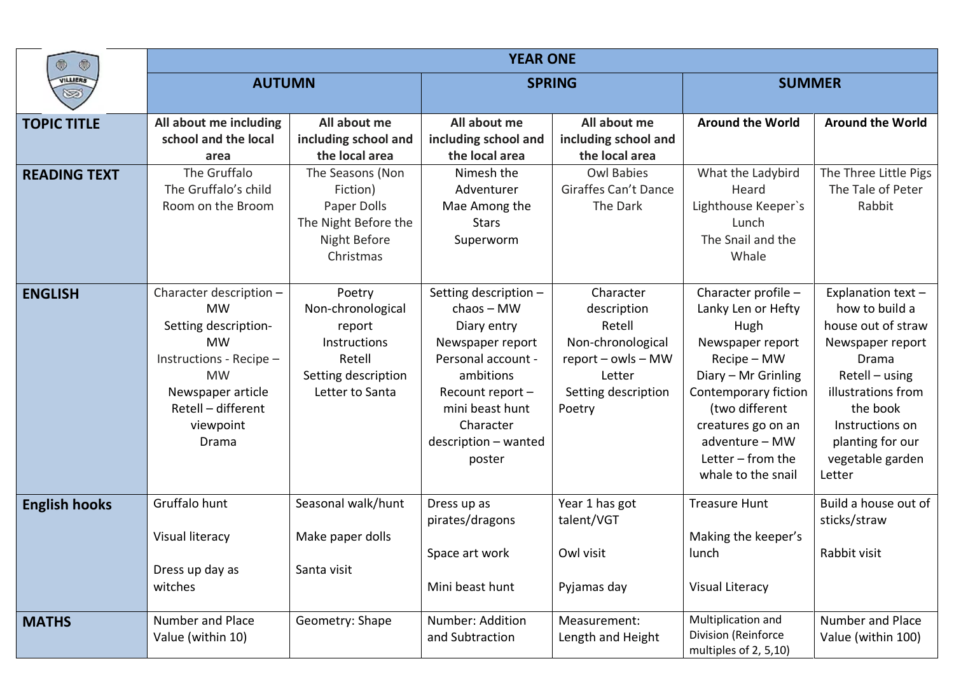| $\circledcirc$<br>۰  | <b>YEAR ONE</b>         |                      |                       |                      |                                              |                         |  |
|----------------------|-------------------------|----------------------|-----------------------|----------------------|----------------------------------------------|-------------------------|--|
| VILLIERS<br>S        | <b>AUTUMN</b>           |                      | <b>SPRING</b>         |                      | <b>SUMMER</b>                                |                         |  |
|                      |                         |                      |                       |                      |                                              |                         |  |
| <b>TOPIC TITLE</b>   | All about me including  | All about me         | All about me          | All about me         | <b>Around the World</b>                      | <b>Around the World</b> |  |
|                      | school and the local    | including school and | including school and  | including school and |                                              |                         |  |
|                      | area                    | the local area       | the local area        | the local area       |                                              |                         |  |
| <b>READING TEXT</b>  | The Gruffalo            | The Seasons (Non     | Nimesh the            | <b>Owl Babies</b>    | What the Ladybird                            | The Three Little Pigs   |  |
|                      | The Gruffalo's child    | Fiction)             | Adventurer            | Giraffes Can't Dance | Heard                                        | The Tale of Peter       |  |
|                      | Room on the Broom       | Paper Dolls          | Mae Among the         | The Dark             | Lighthouse Keeper's                          | Rabbit                  |  |
|                      |                         | The Night Before the | <b>Stars</b>          |                      | Lunch                                        |                         |  |
|                      |                         | Night Before         | Superworm             |                      | The Snail and the                            |                         |  |
|                      |                         | Christmas            |                       |                      | Whale                                        |                         |  |
| <b>ENGLISH</b>       | Character description - | Poetry               | Setting description - | Character            | Character profile -                          | Explanation text-       |  |
|                      | <b>MW</b>               | Non-chronological    | $chaos - MW$          | description          | Lanky Len or Hefty                           | how to build a          |  |
|                      | Setting description-    | report               | Diary entry           | Retell               | Hugh                                         | house out of straw      |  |
|                      | <b>MW</b>               | Instructions         | Newspaper report      | Non-chronological    | Newspaper report                             | Newspaper report        |  |
|                      | Instructions - Recipe - | Retell               | Personal account -    | report - owls - MW   | Recipe - MW                                  | Drama                   |  |
|                      | <b>MW</b>               | Setting description  | ambitions             | Letter               | Diary - Mr Grinling                          | Retell - using          |  |
|                      | Newspaper article       | Letter to Santa      | Recount report -      | Setting description  | Contemporary fiction                         | illustrations from      |  |
|                      | Retell - different      |                      | mini beast hunt       | Poetry               | (two different                               | the book                |  |
|                      | viewpoint               |                      | Character             |                      | creatures go on an                           | Instructions on         |  |
|                      | Drama                   |                      | description - wanted  |                      | adventure - MW                               | planting for our        |  |
|                      |                         |                      | poster                |                      | Letter $-$ from the                          | vegetable garden        |  |
|                      |                         |                      |                       |                      | whale to the snail                           | Letter                  |  |
| <b>English hooks</b> | Gruffalo hunt           | Seasonal walk/hunt   | Dress up as           | Year 1 has got       | <b>Treasure Hunt</b>                         | Build a house out of    |  |
|                      |                         |                      | pirates/dragons       | talent/VGT           |                                              | sticks/straw            |  |
|                      | Visual literacy         | Make paper dolls     |                       |                      | Making the keeper's                          |                         |  |
|                      |                         |                      | Space art work        | Owl visit            | lunch                                        | Rabbit visit            |  |
|                      | Dress up day as         | Santa visit          |                       |                      |                                              |                         |  |
|                      | witches                 |                      | Mini beast hunt       | Pyjamas day          | <b>Visual Literacy</b>                       |                         |  |
| <b>MATHS</b>         | Number and Place        | Geometry: Shape      | Number: Addition      | Measurement:         | Multiplication and                           | Number and Place        |  |
|                      | Value (within 10)       |                      | and Subtraction       | Length and Height    | Division (Reinforce<br>multiples of 2, 5,10) | Value (within 100)      |  |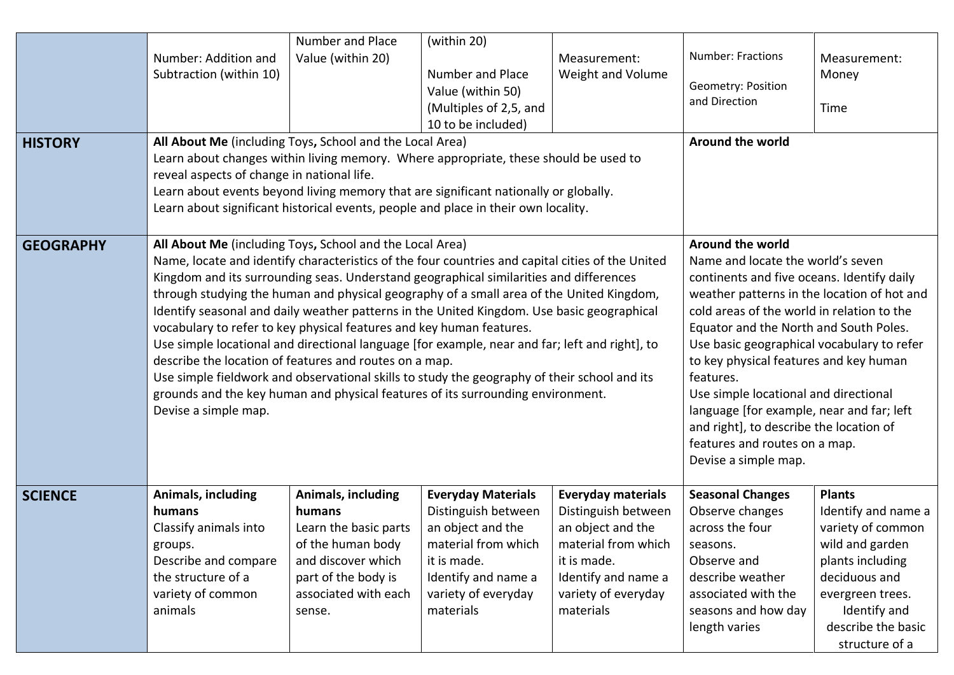| <b>HISTORY</b>   | Number: Addition and<br>Subtraction (within 10)<br>All About Me (including Toys, School and the Local Area)<br>Learn about changes within living memory. Where appropriate, these should be used to<br>reveal aspects of change in national life.<br>Learn about events beyond living memory that are significant nationally or globally.<br>Learn about significant historical events, people and place in their own locality.                                                                                                                                                                                                                                                                                                                                                                                                                                                                 | Number and Place<br>Value (within 20)                                                                                                                            | (within 20)<br>Number and Place<br>Value (within 50)<br>(Multiples of 2,5, and<br>10 to be included)                                                                   | Measurement:<br>Weight and Volume                                                                                                                                      | <b>Number: Fractions</b><br>Geometry: Position<br>and Direction<br><b>Around the world</b>                                                                                                                                                                                                                                                                                                                                                                                                                                                | Measurement:<br>Money<br>Time                                                                                                                                                                 |
|------------------|-------------------------------------------------------------------------------------------------------------------------------------------------------------------------------------------------------------------------------------------------------------------------------------------------------------------------------------------------------------------------------------------------------------------------------------------------------------------------------------------------------------------------------------------------------------------------------------------------------------------------------------------------------------------------------------------------------------------------------------------------------------------------------------------------------------------------------------------------------------------------------------------------|------------------------------------------------------------------------------------------------------------------------------------------------------------------|------------------------------------------------------------------------------------------------------------------------------------------------------------------------|------------------------------------------------------------------------------------------------------------------------------------------------------------------------|-------------------------------------------------------------------------------------------------------------------------------------------------------------------------------------------------------------------------------------------------------------------------------------------------------------------------------------------------------------------------------------------------------------------------------------------------------------------------------------------------------------------------------------------|-----------------------------------------------------------------------------------------------------------------------------------------------------------------------------------------------|
| <b>GEOGRAPHY</b> | All About Me (including Toys, School and the Local Area)<br>Name, locate and identify characteristics of the four countries and capital cities of the United<br>Kingdom and its surrounding seas. Understand geographical similarities and differences<br>through studying the human and physical geography of a small area of the United Kingdom,<br>Identify seasonal and daily weather patterns in the United Kingdom. Use basic geographical<br>vocabulary to refer to key physical features and key human features.<br>Use simple locational and directional language [for example, near and far; left and right], to<br>describe the location of features and routes on a map.<br>Use simple fieldwork and observational skills to study the geography of their school and its<br>grounds and the key human and physical features of its surrounding environment.<br>Devise a simple map. |                                                                                                                                                                  |                                                                                                                                                                        |                                                                                                                                                                        | Around the world<br>Name and locate the world's seven<br>continents and five oceans. Identify daily<br>weather patterns in the location of hot and<br>cold areas of the world in relation to the<br>Equator and the North and South Poles.<br>Use basic geographical vocabulary to refer<br>to key physical features and key human<br>features.<br>Use simple locational and directional<br>language [for example, near and far; left<br>and right], to describe the location of<br>features and routes on a map.<br>Devise a simple map. |                                                                                                                                                                                               |
| <b>SCIENCE</b>   | Animals, including<br>humans<br>Classify animals into<br>groups.<br>Describe and compare<br>the structure of a<br>variety of common<br>animals                                                                                                                                                                                                                                                                                                                                                                                                                                                                                                                                                                                                                                                                                                                                                  | <b>Animals, including</b><br>humans<br>Learn the basic parts<br>of the human body<br>and discover which<br>part of the body is<br>associated with each<br>sense. | <b>Everyday Materials</b><br>Distinguish between<br>an object and the<br>material from which<br>it is made.<br>Identify and name a<br>variety of everyday<br>materials | <b>Everyday materials</b><br>Distinguish between<br>an object and the<br>material from which<br>it is made.<br>Identify and name a<br>variety of everyday<br>materials | <b>Seasonal Changes</b><br>Observe changes<br>across the four<br>seasons.<br>Observe and<br>describe weather<br>associated with the<br>seasons and how day<br>length varies                                                                                                                                                                                                                                                                                                                                                               | <b>Plants</b><br>Identify and name a<br>variety of common<br>wild and garden<br>plants including<br>deciduous and<br>evergreen trees.<br>Identify and<br>describe the basic<br>structure of a |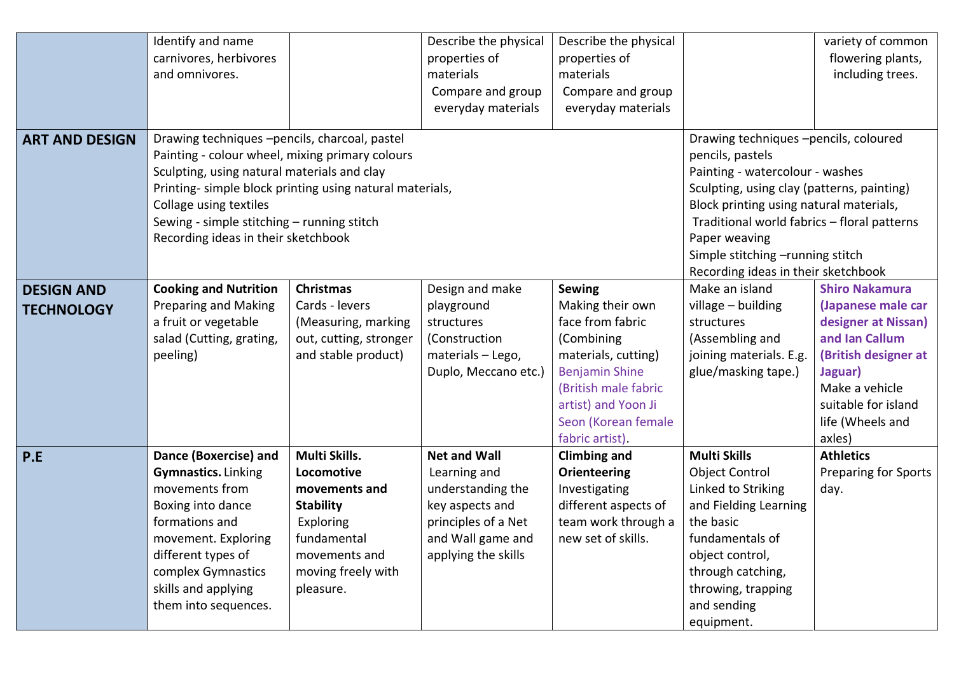|                       | Identify and name                                        |                        | Describe the physical                       | Describe the physical               |                                         | variety of common           |
|-----------------------|----------------------------------------------------------|------------------------|---------------------------------------------|-------------------------------------|-----------------------------------------|-----------------------------|
|                       | carnivores, herbivores                                   |                        | properties of                               | properties of                       |                                         | flowering plants,           |
|                       | and omnivores.                                           |                        | materials                                   | materials                           |                                         | including trees.            |
|                       |                                                          |                        | Compare and group                           | Compare and group                   |                                         |                             |
|                       |                                                          |                        | everyday materials                          | everyday materials                  |                                         |                             |
|                       |                                                          |                        |                                             |                                     |                                         |                             |
| <b>ART AND DESIGN</b> | Drawing techniques -pencils, charcoal, pastel            |                        |                                             |                                     | Drawing techniques -pencils, coloured   |                             |
|                       | Painting - colour wheel, mixing primary colours          |                        |                                             | pencils, pastels                    |                                         |                             |
|                       | Sculpting, using natural materials and clay              |                        | Painting - watercolour - washes             |                                     |                                         |                             |
|                       | Printing- simple block printing using natural materials, |                        | Sculpting, using clay (patterns, painting)  |                                     |                                         |                             |
|                       | Collage using textiles                                   |                        |                                             |                                     | Block printing using natural materials, |                             |
|                       | Sewing - simple stitching - running stitch               |                        | Traditional world fabrics - floral patterns |                                     |                                         |                             |
|                       | Recording ideas in their sketchbook                      |                        |                                             | Paper weaving                       |                                         |                             |
|                       |                                                          |                        |                                             |                                     | Simple stitching -running stitch        |                             |
|                       |                                                          |                        |                                             | Recording ideas in their sketchbook |                                         |                             |
| <b>DESIGN AND</b>     | <b>Cooking and Nutrition</b>                             | <b>Christmas</b>       | Design and make                             | Sewing                              | Make an island                          | <b>Shiro Nakamura</b>       |
| <b>TECHNOLOGY</b>     | <b>Preparing and Making</b>                              | Cards - levers         | playground                                  | Making their own                    | village - building                      | (Japanese male car          |
|                       | a fruit or vegetable                                     | (Measuring, marking    | structures                                  | face from fabric                    | structures                              | designer at Nissan)         |
|                       | salad (Cutting, grating,                                 | out, cutting, stronger | (Construction                               | (Combining                          | (Assembling and                         | and Ian Callum              |
|                       | peeling)                                                 | and stable product)    | materials - Lego,                           | materials, cutting)                 | joining materials. E.g.                 | (British designer at        |
|                       |                                                          |                        | Duplo, Meccano etc.)                        | <b>Benjamin Shine</b>               | glue/masking tape.)                     | Jaguar)                     |
|                       |                                                          |                        |                                             | (British male fabric                |                                         | Make a vehicle              |
|                       |                                                          |                        |                                             | artist) and Yoon Ji                 |                                         | suitable for island         |
|                       |                                                          |                        |                                             | Seon (Korean female                 |                                         | life (Wheels and            |
|                       |                                                          |                        |                                             | fabric artist).                     |                                         | axles)                      |
| P.E                   | Dance (Boxercise) and                                    | Multi Skills.          | <b>Net and Wall</b>                         | <b>Climbing and</b>                 | <b>Multi Skills</b>                     | <b>Athletics</b>            |
|                       | <b>Gymnastics.</b> Linking                               | Locomotive             | Learning and                                | Orienteering                        | <b>Object Control</b>                   | <b>Preparing for Sports</b> |
|                       | movements from                                           | movements and          | understanding the                           | Investigating                       | Linked to Striking                      | day.                        |
|                       | Boxing into dance                                        | <b>Stability</b>       | key aspects and                             | different aspects of                | and Fielding Learning                   |                             |
|                       | formations and                                           | Exploring              | principles of a Net                         | team work through a                 | the basic                               |                             |
|                       | movement. Exploring                                      | fundamental            | and Wall game and                           | new set of skills.                  | fundamentals of                         |                             |
|                       | different types of                                       | movements and          | applying the skills                         |                                     | object control,                         |                             |
|                       | complex Gymnastics                                       | moving freely with     |                                             |                                     | through catching,                       |                             |
|                       | skills and applying                                      | pleasure.              |                                             |                                     | throwing, trapping                      |                             |
|                       | them into sequences.                                     |                        |                                             |                                     | and sending                             |                             |
|                       |                                                          |                        |                                             |                                     | equipment.                              |                             |